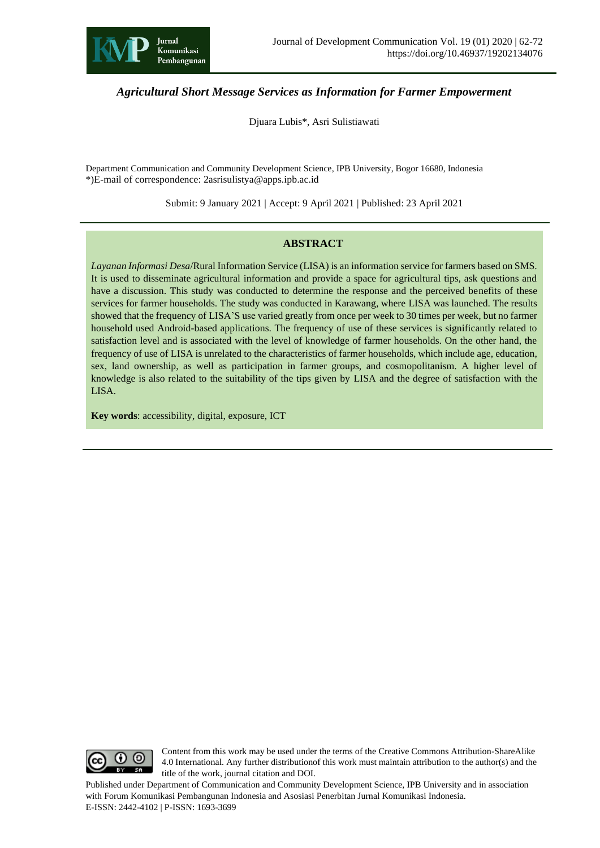

# *Agricultural Short Message Services as Information for Farmer Empowerment*

Djuara Lubis\*, Asri Sulistiawati

Department Communication and Community Development Science, IPB University, Bogor 16680, Indonesia \*)E-mail of correspondence: 2asrisulistya@apps.ipb.ac.id

Submit: 9 January 2021 | Accept: 9 April 2021 | Published: 23 April 2021

#### **ABSTRACT**

*Layanan Informasi Desa*/Rural Information Service (LISA) is an information service for farmers based on SMS. It is used to disseminate agricultural information and provide a space for agricultural tips, ask questions and have a discussion. This study was conducted to determine the response and the perceived benefits of these services for farmer households. The study was conducted in Karawang, where LISA was launched. The results showed that the frequency of LISA'S use varied greatly from once per week to 30 times per week, but no farmer household used Android-based applications. The frequency of use of these services is significantly related to satisfaction level and is associated with the level of knowledge of farmer households. On the other hand, the frequency of use of LISA is unrelated to the characteristics of farmer households, which include age, education, sex, land ownership, as well as participation in farmer groups, and cosmopolitanism. A higher level of knowledge is also related to the suitability of the tips given by LISA and the degree of satisfaction with the LISA.

**Key words**: accessibility, digital, exposure, ICT



Content from this work may be used under the terms of the Creative Commons Attribution-ShareAlike 4.0 International. Any further distributionof this work must maintain attribution to the author(s) and the title of the work, journal citation and DOI.

Published under Department of Communication and Community Development Science, IPB University and in association with Forum Komunikasi Pembangunan Indonesia and Asosiasi Penerbitan Jurnal Komunikasi Indonesia. E-ISSN: 2442-4102 | P-ISSN: 1693-3699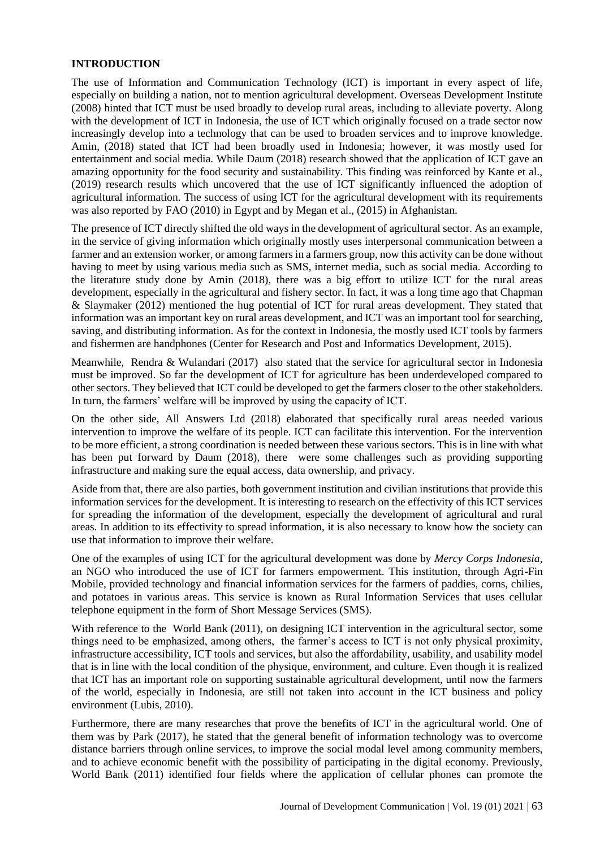#### **INTRODUCTION**

The use of Information and Communication Technology (ICT) is important in every aspect of life, especially on building a nation, not to mention agricultural development. Overseas Development Institute (2008) hinted that ICT must be used broadly to develop rural areas, including to alleviate poverty. Along with the development of ICT in Indonesia, the use of ICT which originally focused on a trade sector now increasingly develop into a technology that can be used to broaden services and to improve knowledge. Amin, (2018) stated that ICT had been broadly used in Indonesia; however, it was mostly used for entertainment and social media. While Daum (2018) research showed that the application of ICT gave an amazing opportunity for the food security and sustainability. This finding was reinforced by Kante et al., (2019) research results which uncovered that the use of ICT significantly influenced the adoption of agricultural information. The success of using ICT for the agricultural development with its requirements was also reported by FAO (2010) in Egypt and by Megan et al., (2015) in Afghanistan.

The presence of ICT directly shifted the old ways in the development of agricultural sector. As an example, in the service of giving information which originally mostly uses interpersonal communication between a farmer and an extension worker, or among farmers in a farmers group, now this activity can be done without having to meet by using various media such as SMS, internet media, such as social media. According to the literature study done by Amin (2018), there was a big effort to utilize ICT for the rural areas development, especially in the agricultural and fishery sector. In fact, it was a long time ago that Chapman & Slaymaker (2012) mentioned the hug potential of ICT for rural areas development. They stated that information was an important key on rural areas development, and ICT was an important tool for searching, saving, and distributing information. As for the context in Indonesia, the mostly used ICT tools by farmers and fishermen are handphones (Center for Research and Post and Informatics Development, 2015).

Meanwhile, Rendra & Wulandari (2017) also stated that the service for agricultural sector in Indonesia must be improved. So far the development of ICT for agriculture has been underdeveloped compared to other sectors. They believed that ICT could be developed to get the farmers closer to the other stakeholders. In turn, the farmers' welfare will be improved by using the capacity of ICT.

On the other side, All Answers Ltd (2018) elaborated that specifically rural areas needed various intervention to improve the welfare of its people. ICT can facilitate this intervention. For the intervention to be more efficient, a strong coordination is needed between these various sectors. This is in line with what has been put forward by Daum (2018), there were some challenges such as providing supporting infrastructure and making sure the equal access, data ownership, and privacy.

Aside from that, there are also parties, both government institution and civilian institutions that provide this information services for the development. It is interesting to research on the effectivity of this ICT services for spreading the information of the development, especially the development of agricultural and rural areas. In addition to its effectivity to spread information, it is also necessary to know how the society can use that information to improve their welfare.

One of the examples of using ICT for the agricultural development was done by *Mercy Corps Indonesia*, an NGO who introduced the use of ICT for farmers empowerment. This institution, through Agri-Fin Mobile, provided technology and financial information services for the farmers of paddies, corns, chilies, and potatoes in various areas. This service is known as Rural Information Services that uses cellular telephone equipment in the form of Short Message Services (SMS).

With reference to the World Bank (2011), on designing ICT intervention in the agricultural sector, some things need to be emphasized, among others, the farmer's access to ICT is not only physical proximity, infrastructure accessibility, ICT tools and services, but also the affordability, usability, and usability model that is in line with the local condition of the physique, environment, and culture. Even though it is realized that ICT has an important role on supporting sustainable agricultural development, until now the farmers of the world, especially in Indonesia, are still not taken into account in the ICT business and policy environment (Lubis, 2010).

Furthermore, there are many researches that prove the benefits of ICT in the agricultural world. One of them was by Park (2017), he stated that the general benefit of information technology was to overcome distance barriers through online services, to improve the social modal level among community members, and to achieve economic benefit with the possibility of participating in the digital economy. Previously, World Bank (2011) identified four fields where the application of cellular phones can promote the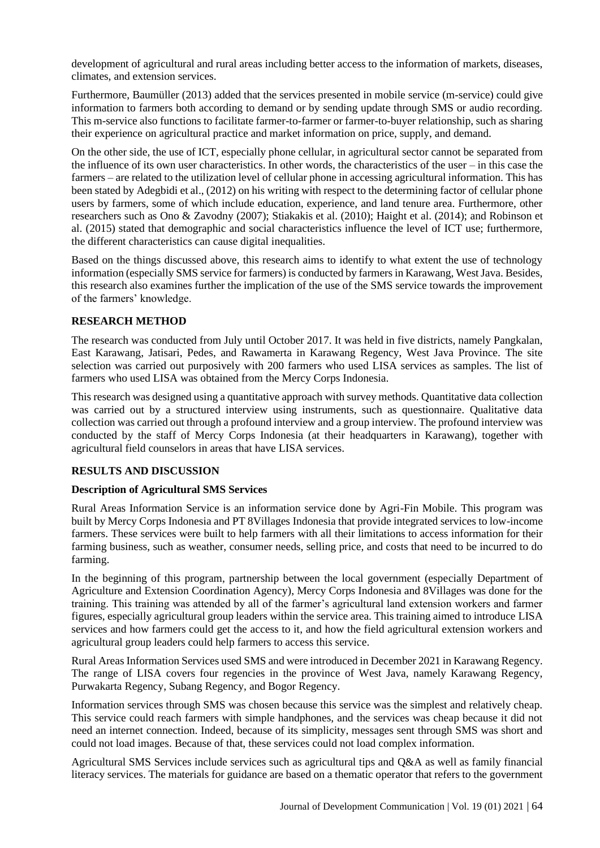development of agricultural and rural areas including better access to the information of markets, diseases, climates, and extension services.

Furthermore, Baumüller (2013) added that the services presented in mobile service (m-service) could give information to farmers both according to demand or by sending update through SMS or audio recording. This m-service also functions to facilitate farmer-to-farmer or farmer-to-buyer relationship, such as sharing their experience on agricultural practice and market information on price, supply, and demand.

On the other side, the use of ICT, especially phone cellular, in agricultural sector cannot be separated from the influence of its own user characteristics. In other words, the characteristics of the user – in this case the farmers – are related to the utilization level of cellular phone in accessing agricultural information. This has been stated by Adegbidi et al., (2012) on his writing with respect to the determining factor of cellular phone users by farmers, some of which include education, experience, and land tenure area. Furthermore, other researchers such as Ono & Zavodny (2007); Stiakakis et al. (2010); Haight et al. (2014); and Robinson et al. (2015) stated that demographic and social characteristics influence the level of ICT use; furthermore, the different characteristics can cause digital inequalities.

Based on the things discussed above, this research aims to identify to what extent the use of technology information (especially SMS service for farmers) is conducted by farmers in Karawang, West Java. Besides, this research also examines further the implication of the use of the SMS service towards the improvement of the farmers' knowledge.

### **RESEARCH METHOD**

The research was conducted from July until October 2017. It was held in five districts, namely Pangkalan, East Karawang, Jatisari, Pedes, and Rawamerta in Karawang Regency, West Java Province. The site selection was carried out purposively with 200 farmers who used LISA services as samples. The list of farmers who used LISA was obtained from the Mercy Corps Indonesia.

This research was designed using a quantitative approach with survey methods. Quantitative data collection was carried out by a structured interview using instruments, such as questionnaire. Qualitative data collection was carried out through a profound interview and a group interview. The profound interview was conducted by the staff of Mercy Corps Indonesia (at their headquarters in Karawang), together with agricultural field counselors in areas that have LISA services.

#### **RESULTS AND DISCUSSION**

#### **Description of Agricultural SMS Services**

Rural Areas Information Service is an information service done by Agri-Fin Mobile. This program was built by Mercy Corps Indonesia and PT 8Villages Indonesia that provide integrated services to low-income farmers. These services were built to help farmers with all their limitations to access information for their farming business, such as weather, consumer needs, selling price, and costs that need to be incurred to do farming.

In the beginning of this program, partnership between the local government (especially Department of Agriculture and Extension Coordination Agency), Mercy Corps Indonesia and 8Villages was done for the training. This training was attended by all of the farmer's agricultural land extension workers and farmer figures, especially agricultural group leaders within the service area. This training aimed to introduce LISA services and how farmers could get the access to it, and how the field agricultural extension workers and agricultural group leaders could help farmers to access this service.

Rural Areas Information Services used SMS and were introduced in December 2021 in Karawang Regency. The range of LISA covers four regencies in the province of West Java, namely Karawang Regency, Purwakarta Regency, Subang Regency, and Bogor Regency.

Information services through SMS was chosen because this service was the simplest and relatively cheap. This service could reach farmers with simple handphones, and the services was cheap because it did not need an internet connection. Indeed, because of its simplicity, messages sent through SMS was short and could not load images. Because of that, these services could not load complex information.

Agricultural SMS Services include services such as agricultural tips and Q&A as well as family financial literacy services. The materials for guidance are based on a thematic operator that refers to the government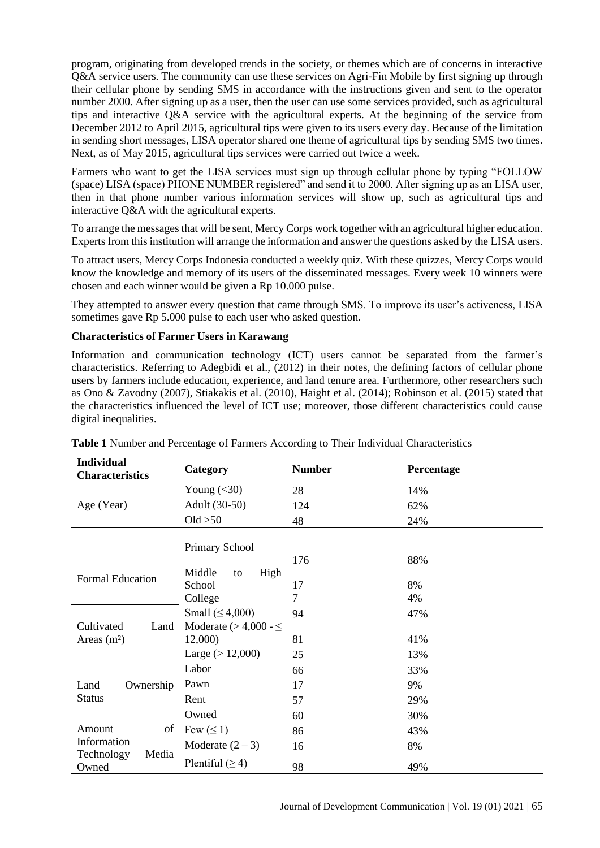program, originating from developed trends in the society, or themes which are of concerns in interactive Q&A service users. The community can use these services on Agri-Fin Mobile by first signing up through their cellular phone by sending SMS in accordance with the instructions given and sent to the operator number 2000. After signing up as a user, then the user can use some services provided, such as agricultural tips and interactive Q&A service with the agricultural experts. At the beginning of the service from December 2012 to April 2015, agricultural tips were given to its users every day. Because of the limitation in sending short messages, LISA operator shared one theme of agricultural tips by sending SMS two times. Next, as of May 2015, agricultural tips services were carried out twice a week.

Farmers who want to get the LISA services must sign up through cellular phone by typing "FOLLOW (space) LISA (space) PHONE NUMBER registered" and send it to 2000. After signing up as an LISA user, then in that phone number various information services will show up, such as agricultural tips and interactive Q&A with the agricultural experts.

To arrange the messages that will be sent, Mercy Corps work together with an agricultural higher education. Experts from this institution will arrange the information and answer the questions asked by the LISA users.

To attract users, Mercy Corps Indonesia conducted a weekly quiz. With these quizzes, Mercy Corps would know the knowledge and memory of its users of the disseminated messages. Every week 10 winners were chosen and each winner would be given a Rp 10.000 pulse.

They attempted to answer every question that came through SMS. To improve its user's activeness, LISA sometimes gave Rp 5.000 pulse to each user who asked question.

### **Characteristics of Farmer Users in Karawang**

Information and communication technology (ICT) users cannot be separated from the farmer's characteristics. Referring to Adegbidi et al., (2012) in their notes, the defining factors of cellular phone users by farmers include education, experience, and land tenure area. Furthermore, other researchers such as Ono & Zavodny (2007), Stiakakis et al. (2010), Haight et al. (2014); Robinson et al. (2015) stated that the characteristics influenced the level of ICT use; moreover, those different characteristics could cause digital inequalities.

| <b>Individual</b><br><b>Characteristics</b> | Category                     | <b>Number</b>  | Percentage |
|---------------------------------------------|------------------------------|----------------|------------|
|                                             | Young $(30)$                 | 28             | 14%        |
| Age (Year)                                  | Adult (30-50)                | 124            | 62%        |
|                                             | Old $>50$                    | 48             | 24%        |
| Primary School                              |                              |                |            |
|                                             |                              | 176            | 88%        |
| Formal Education                            | Middle<br>High<br>to         |                |            |
|                                             | School                       | 17             | 8%         |
|                                             | College                      | $\overline{7}$ | 4%         |
|                                             | Small $( \leq 4,000)$        | 94             | 47%        |
| Cultivated<br>Land                          | Moderate ( $>$ 4,000 - $\le$ |                |            |
| Areas $(m2)$                                | 12,000)                      | 81             | 41%        |
|                                             | Large $(>12,000)$            | 25             | 13%        |
|                                             | Labor                        | 66             | 33%        |
| Land<br>Ownership                           | Pawn                         | 17             | 9%         |
| <b>Status</b>                               | Rent                         | 57             | 29%        |
|                                             | Owned                        | 60             | 30%        |
| Amount<br>of                                | Few $(\leq 1)$               | 86             | 43%        |
| Information                                 | Moderate $(2-3)$             | 16             | 8%         |
| Media<br>Technology<br>Owned                | Plentiful $(≥ 4)$            | 98             | 49%        |

**Table 1** Number and Percentage of Farmers According to Their Individual Characteristics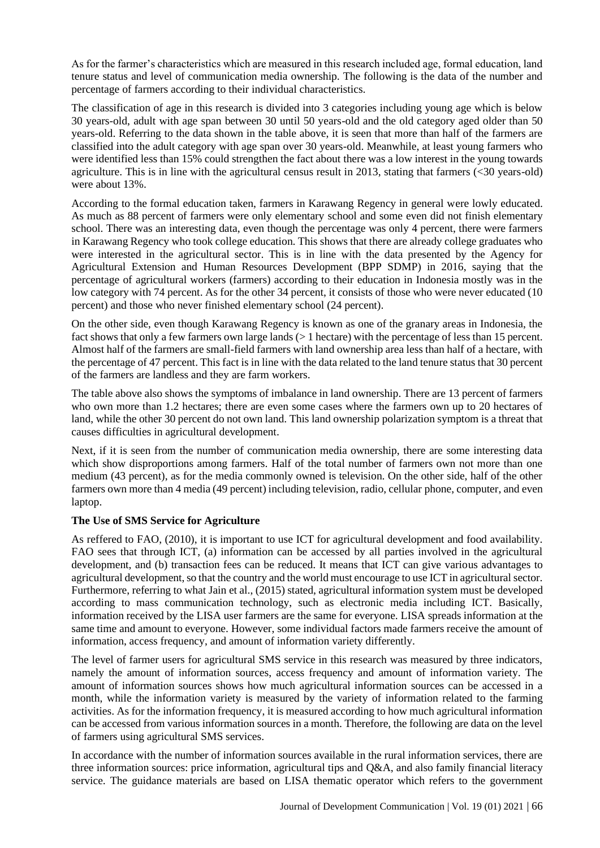As for the farmer's characteristics which are measured in this research included age, formal education, land tenure status and level of communication media ownership. The following is the data of the number and percentage of farmers according to their individual characteristics.

The classification of age in this research is divided into 3 categories including young age which is below 30 years-old, adult with age span between 30 until 50 years-old and the old category aged older than 50 years-old. Referring to the data shown in the table above, it is seen that more than half of the farmers are classified into the adult category with age span over 30 years-old. Meanwhile, at least young farmers who were identified less than 15% could strengthen the fact about there was a low interest in the young towards agriculture. This is in line with the agricultural census result in 2013, stating that farmers (<30 years-old) were about 13%.

According to the formal education taken, farmers in Karawang Regency in general were lowly educated. As much as 88 percent of farmers were only elementary school and some even did not finish elementary school. There was an interesting data, even though the percentage was only 4 percent, there were farmers in Karawang Regency who took college education. This shows that there are already college graduates who were interested in the agricultural sector. This is in line with the data presented by the Agency for Agricultural Extension and Human Resources Development (BPP SDMP) in 2016, saying that the percentage of agricultural workers (farmers) according to their education in Indonesia mostly was in the low category with 74 percent. As for the other 34 percent, it consists of those who were never educated (10 percent) and those who never finished elementary school (24 percent).

On the other side, even though Karawang Regency is known as one of the granary areas in Indonesia, the fact shows that only a few farmers own large lands (> 1 hectare) with the percentage of less than 15 percent. Almost half of the farmers are small-field farmers with land ownership area less than half of a hectare, with the percentage of 47 percent. This fact is in line with the data related to the land tenure status that 30 percent of the farmers are landless and they are farm workers.

The table above also shows the symptoms of imbalance in land ownership. There are 13 percent of farmers who own more than 1.2 hectares; there are even some cases where the farmers own up to 20 hectares of land, while the other 30 percent do not own land. This land ownership polarization symptom is a threat that causes difficulties in agricultural development.

Next, if it is seen from the number of communication media ownership, there are some interesting data which show disproportions among farmers. Half of the total number of farmers own not more than one medium (43 percent), as for the media commonly owned is television. On the other side, half of the other farmers own more than 4 media (49 percent) including television, radio, cellular phone, computer, and even laptop.

## **The Use of SMS Service for Agriculture**

As reffered to FAO, (2010), it is important to use ICT for agricultural development and food availability. FAO sees that through ICT, (a) information can be accessed by all parties involved in the agricultural development, and (b) transaction fees can be reduced. It means that ICT can give various advantages to agricultural development, so that the country and the world must encourage to use ICT in agricultural sector. Furthermore, referring to what Jain et al., (2015) stated, agricultural information system must be developed according to mass communication technology, such as electronic media including ICT. Basically, information received by the LISA user farmers are the same for everyone. LISA spreads information at the same time and amount to everyone. However, some individual factors made farmers receive the amount of information, access frequency, and amount of information variety differently.

The level of farmer users for agricultural SMS service in this research was measured by three indicators, namely the amount of information sources, access frequency and amount of information variety. The amount of information sources shows how much agricultural information sources can be accessed in a month, while the information variety is measured by the variety of information related to the farming activities. As for the information frequency, it is measured according to how much agricultural information can be accessed from various information sources in a month. Therefore, the following are data on the level of farmers using agricultural SMS services.

In accordance with the number of information sources available in the rural information services, there are three information sources: price information, agricultural tips and Q&A, and also family financial literacy service. The guidance materials are based on LISA thematic operator which refers to the government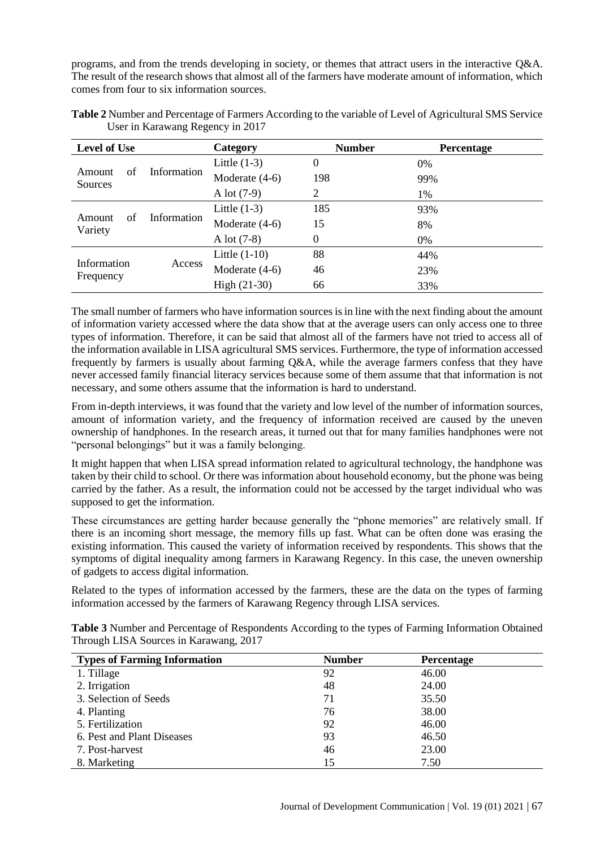programs, and from the trends developing in society, or themes that attract users in the interactive Q&A. The result of the research shows that almost all of the farmers have moderate amount of information, which comes from four to six information sources.

| <b>Level of Use</b>     |             | Category        | <b>Number</b>    | Percentage |
|-------------------------|-------------|-----------------|------------------|------------|
| Amount<br>οf<br>Sources | Information | Little $(1-3)$  | $\boldsymbol{0}$ | 0%         |
|                         |             | Moderate (4-6)  | 198              | 99%        |
|                         |             | A lot $(7-9)$   | 2                | 1%         |
| Amount<br>οf<br>Variety | Information | Little $(1-3)$  | 185              | 93%        |
|                         |             | Moderate (4-6)  | 15               | 8%         |
|                         |             | A lot $(7-8)$   | $\theta$         | $0\%$      |
| Information             | Access      | Little $(1-10)$ | 88               | 44%        |
|                         |             | Moderate (4-6)  | 46               | 23%        |
| Frequency               |             | $High (21-30)$  | 66               | 33%        |

**Table 2** Number and Percentage of Farmers According to the variable of Level of Agricultural SMS Service User in Karawang Regency in 2017

The small number of farmers who have information sources is in line with the next finding about the amount of information variety accessed where the data show that at the average users can only access one to three types of information. Therefore, it can be said that almost all of the farmers have not tried to access all of the information available in LISA agricultural SMS services. Furthermore, the type of information accessed frequently by farmers is usually about farming Q&A, while the average farmers confess that they have never accessed family financial literacy services because some of them assume that that information is not necessary, and some others assume that the information is hard to understand.

From in-depth interviews, it was found that the variety and low level of the number of information sources, amount of information variety, and the frequency of information received are caused by the uneven ownership of handphones. In the research areas, it turned out that for many families handphones were not "personal belongings" but it was a family belonging.

It might happen that when LISA spread information related to agricultural technology, the handphone was taken by their child to school. Or there was information about household economy, but the phone was being carried by the father. As a result, the information could not be accessed by the target individual who was supposed to get the information.

These circumstances are getting harder because generally the "phone memories" are relatively small. If there is an incoming short message, the memory fills up fast. What can be often done was erasing the existing information. This caused the variety of information received by respondents. This shows that the symptoms of digital inequality among farmers in Karawang Regency. In this case, the uneven ownership of gadgets to access digital information.

Related to the types of information accessed by the farmers, these are the data on the types of farming information accessed by the farmers of Karawang Regency through LISA services.

| Table 3 Number and Percentage of Respondents According to the types of Farming Information Obtained |  |  |
|-----------------------------------------------------------------------------------------------------|--|--|
| Through LISA Sources in Karawang, 2017                                                              |  |  |

| <b>Types of Farming Information</b> | <b>Number</b> | <b>Percentage</b> |  |
|-------------------------------------|---------------|-------------------|--|
| 1. Tillage                          | 92            | 46.00             |  |
| 2. Irrigation                       | 48            | 24.00             |  |
| 3. Selection of Seeds               | 71            | 35.50             |  |
| 4. Planting                         | 76            | 38.00             |  |
| 5. Fertilization                    | 92            | 46.00             |  |
| 6. Pest and Plant Diseases          | 93            | 46.50             |  |
| 7. Post-harvest                     | 46            | 23.00             |  |
| 8. Marketing                        | 15            | 7.50              |  |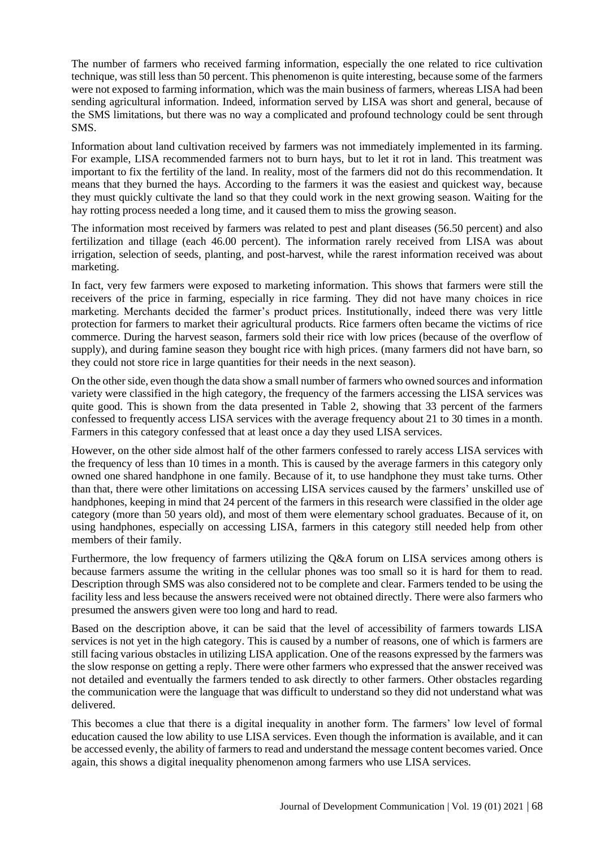The number of farmers who received farming information, especially the one related to rice cultivation technique, was still less than 50 percent. This phenomenon is quite interesting, because some of the farmers were not exposed to farming information, which was the main business of farmers, whereas LISA had been sending agricultural information. Indeed, information served by LISA was short and general, because of the SMS limitations, but there was no way a complicated and profound technology could be sent through SMS.

Information about land cultivation received by farmers was not immediately implemented in its farming. For example, LISA recommended farmers not to burn hays, but to let it rot in land. This treatment was important to fix the fertility of the land. In reality, most of the farmers did not do this recommendation. It means that they burned the hays. According to the farmers it was the easiest and quickest way, because they must quickly cultivate the land so that they could work in the next growing season. Waiting for the hay rotting process needed a long time, and it caused them to miss the growing season.

The information most received by farmers was related to pest and plant diseases (56.50 percent) and also fertilization and tillage (each 46.00 percent). The information rarely received from LISA was about irrigation, selection of seeds, planting, and post-harvest, while the rarest information received was about marketing.

In fact, very few farmers were exposed to marketing information. This shows that farmers were still the receivers of the price in farming, especially in rice farming. They did not have many choices in rice marketing. Merchants decided the farmer's product prices. Institutionally, indeed there was very little protection for farmers to market their agricultural products. Rice farmers often became the victims of rice commerce. During the harvest season, farmers sold their rice with low prices (because of the overflow of supply), and during famine season they bought rice with high prices. (many farmers did not have barn, so they could not store rice in large quantities for their needs in the next season).

On the other side, even though the data show a small number of farmers who owned sources and information variety were classified in the high category, the frequency of the farmers accessing the LISA services was quite good. This is shown from the data presented in Table 2, showing that 33 percent of the farmers confessed to frequently access LISA services with the average frequency about 21 to 30 times in a month. Farmers in this category confessed that at least once a day they used LISA services.

However, on the other side almost half of the other farmers confessed to rarely access LISA services with the frequency of less than 10 times in a month. This is caused by the average farmers in this category only owned one shared handphone in one family. Because of it, to use handphone they must take turns. Other than that, there were other limitations on accessing LISA services caused by the farmers' unskilled use of handphones, keeping in mind that 24 percent of the farmers in this research were classified in the older age category (more than 50 years old), and most of them were elementary school graduates. Because of it, on using handphones, especially on accessing LISA, farmers in this category still needed help from other members of their family.

Furthermore, the low frequency of farmers utilizing the Q&A forum on LISA services among others is because farmers assume the writing in the cellular phones was too small so it is hard for them to read. Description through SMS was also considered not to be complete and clear. Farmers tended to be using the facility less and less because the answers received were not obtained directly. There were also farmers who presumed the answers given were too long and hard to read.

Based on the description above, it can be said that the level of accessibility of farmers towards LISA services is not yet in the high category. This is caused by a number of reasons, one of which is farmers are still facing various obstacles in utilizing LISA application. One of the reasons expressed by the farmers was the slow response on getting a reply. There were other farmers who expressed that the answer received was not detailed and eventually the farmers tended to ask directly to other farmers. Other obstacles regarding the communication were the language that was difficult to understand so they did not understand what was delivered.

This becomes a clue that there is a digital inequality in another form. The farmers' low level of formal education caused the low ability to use LISA services. Even though the information is available, and it can be accessed evenly, the ability of farmers to read and understand the message content becomes varied. Once again, this shows a digital inequality phenomenon among farmers who use LISA services.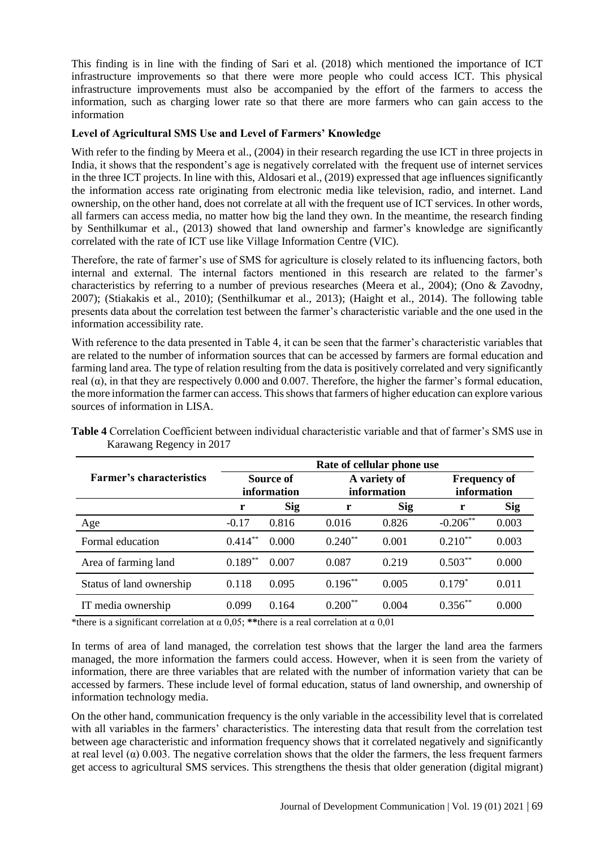This finding is in line with the finding of Sari et al. (2018) which mentioned the importance of ICT infrastructure improvements so that there were more people who could access ICT. This physical infrastructure improvements must also be accompanied by the effort of the farmers to access the information, such as charging lower rate so that there are more farmers who can gain access to the information

#### **Level of Agricultural SMS Use and Level of Farmers' Knowledge**

With refer to the finding by Meera et al., (2004) in their research regarding the use ICT in three projects in India, it shows that the respondent's age is negatively correlated with the frequent use of internet services in the three ICT projects. In line with this, Aldosari et al., (2019) expressed that age influences significantly the information access rate originating from electronic media like television, radio, and internet. Land ownership, on the other hand, does not correlate at all with the frequent use of ICT services. In other words, all farmers can access media, no matter how big the land they own. In the meantime, the research finding by Senthilkumar et al., (2013) showed that land ownership and farmer's knowledge are significantly correlated with the rate of ICT use like Village Information Centre (VIC).

Therefore, the rate of farmer's use of SMS for agriculture is closely related to its influencing factors, both internal and external. The internal factors mentioned in this research are related to the farmer's characteristics by referring to a number of previous researches (Meera et al., 2004); (Ono & Zavodny, 2007); (Stiakakis et al., 2010); (Senthilkumar et al., 2013); (Haight et al., 2014). The following table presents data about the correlation test between the farmer's characteristic variable and the one used in the information accessibility rate.

With reference to the data presented in Table 4, it can be seen that the farmer's characteristic variables that are related to the number of information sources that can be accessed by farmers are formal education and farming land area. The type of relation resulting from the data is positively correlated and very significantly real ( $\alpha$ ), in that they are respectively 0.000 and 0.007. Therefore, the higher the farmer's formal education, the more information the farmer can access. This shows that farmers of higher education can explore various sources of information in LISA.

|                                 | Rate of cellular phone use |            |                             |            |                                    |            |
|---------------------------------|----------------------------|------------|-----------------------------|------------|------------------------------------|------------|
| <b>Farmer's characteristics</b> | Source of<br>information   |            | A variety of<br>information |            | <b>Frequency of</b><br>information |            |
|                                 | r                          | <b>Sig</b> | r                           | <b>Sig</b> | r                                  | <b>Sig</b> |
| Age                             | $-0.17$                    | 0.816      | 0.016                       | 0.826      | $-0.206$ **                        | 0.003      |
| Formal education                | $0.414***$                 | 0.000      | $0.240**$                   | 0.001      | $0.210^{**}$                       | 0.003      |
| Area of farming land            | $0.189**$                  | 0.007      | 0.087                       | 0.219      | $0.503***$                         | 0.000      |
| Status of land ownership        | 0.118                      | 0.095      | $0.196***$                  | 0.005      | $0.179*$                           | 0.011      |
| IT media ownership              | 0.099                      | 0.164      | $0.200**$                   | 0.004      | $0.356**$                          | 0.000      |

**Table 4** Correlation Coefficient between individual characteristic variable and that of farmer's SMS use in Karawang Regency in 2017

\*there is a significant correlation at  $\alpha$  0,05; \*\*there is a real correlation at  $\alpha$  0,01

In terms of area of land managed, the correlation test shows that the larger the land area the farmers managed, the more information the farmers could access. However, when it is seen from the variety of information, there are three variables that are related with the number of information variety that can be accessed by farmers. These include level of formal education, status of land ownership, and ownership of information technology media.

On the other hand, communication frequency is the only variable in the accessibility level that is correlated with all variables in the farmers' characteristics. The interesting data that result from the correlation test between age characteristic and information frequency shows that it correlated negatively and significantly at real level ( $\alpha$ ) 0.003. The negative correlation shows that the older the farmers, the less frequent farmers get access to agricultural SMS services. This strengthens the thesis that older generation (digital migrant)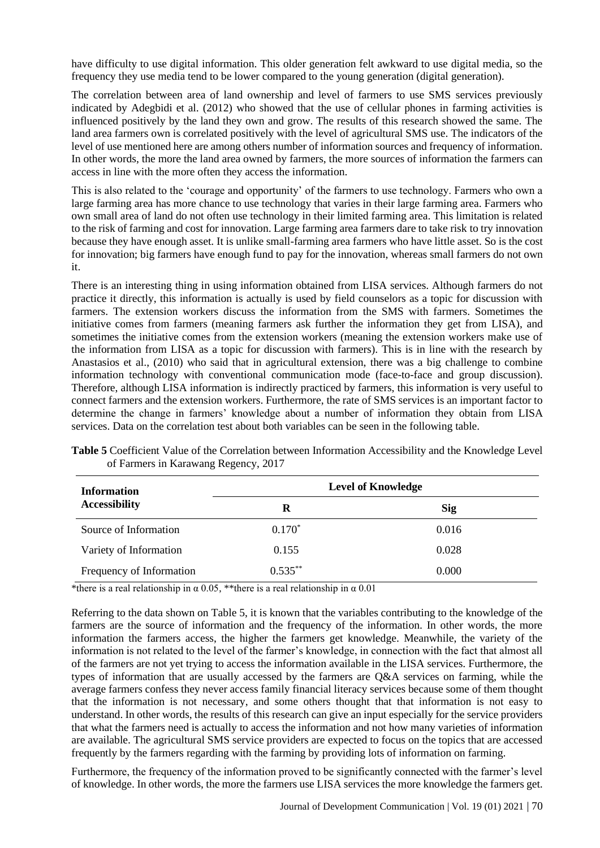have difficulty to use digital information. This older generation felt awkward to use digital media, so the frequency they use media tend to be lower compared to the young generation (digital generation).

The correlation between area of land ownership and level of farmers to use SMS services previously indicated by Adegbidi et al. (2012) who showed that the use of cellular phones in farming activities is influenced positively by the land they own and grow. The results of this research showed the same. The land area farmers own is correlated positively with the level of agricultural SMS use. The indicators of the level of use mentioned here are among others number of information sources and frequency of information. In other words, the more the land area owned by farmers, the more sources of information the farmers can access in line with the more often they access the information.

This is also related to the 'courage and opportunity' of the farmers to use technology. Farmers who own a large farming area has more chance to use technology that varies in their large farming area. Farmers who own small area of land do not often use technology in their limited farming area. This limitation is related to the risk of farming and cost for innovation. Large farming area farmers dare to take risk to try innovation because they have enough asset. It is unlike small-farming area farmers who have little asset. So is the cost for innovation; big farmers have enough fund to pay for the innovation, whereas small farmers do not own it.

There is an interesting thing in using information obtained from LISA services. Although farmers do not practice it directly, this information is actually is used by field counselors as a topic for discussion with farmers. The extension workers discuss the information from the SMS with farmers. Sometimes the initiative comes from farmers (meaning farmers ask further the information they get from LISA), and sometimes the initiative comes from the extension workers (meaning the extension workers make use of the information from LISA as a topic for discussion with farmers). This is in line with the research by Anastasios et al., (2010) who said that in agricultural extension, there was a big challenge to combine information technology with conventional communication mode (face-to-face and group discussion). Therefore, although LISA information is indirectly practiced by farmers, this information is very useful to connect farmers and the extension workers. Furthermore, the rate of SMS services is an important factor to determine the change in farmers' knowledge about a number of information they obtain from LISA services. Data on the correlation test about both variables can be seen in the following table.

| <b>Information</b>       | <b>Level of Knowledge</b> |            |  |
|--------------------------|---------------------------|------------|--|
| <b>Accessibility</b>     | R                         | <b>Sig</b> |  |
| Source of Information    | $0.170*$                  | 0.016      |  |
| Variety of Information   | 0.155                     | 0.028      |  |
| Frequency of Information | $0.535***$                | 0.000      |  |

**Table 5** Coefficient Value of the Correlation between Information Accessibility and the Knowledge Level of Farmers in Karawang Regency, 2017

\*there is a real relationship in  $\alpha$  0.05, \*\*there is a real relationship in  $\alpha$  0.01

Referring to the data shown on Table 5, it is known that the variables contributing to the knowledge of the farmers are the source of information and the frequency of the information. In other words, the more information the farmers access, the higher the farmers get knowledge. Meanwhile, the variety of the information is not related to the level of the farmer's knowledge, in connection with the fact that almost all of the farmers are not yet trying to access the information available in the LISA services. Furthermore, the types of information that are usually accessed by the farmers are Q&A services on farming, while the average farmers confess they never access family financial literacy services because some of them thought that the information is not necessary, and some others thought that that information is not easy to understand. In other words, the results of this research can give an input especially for the service providers that what the farmers need is actually to access the information and not how many varieties of information are available. The agricultural SMS service providers are expected to focus on the topics that are accessed frequently by the farmers regarding with the farming by providing lots of information on farming.

Furthermore, the frequency of the information proved to be significantly connected with the farmer's level of knowledge. In other words, the more the farmers use LISA services the more knowledge the farmers get.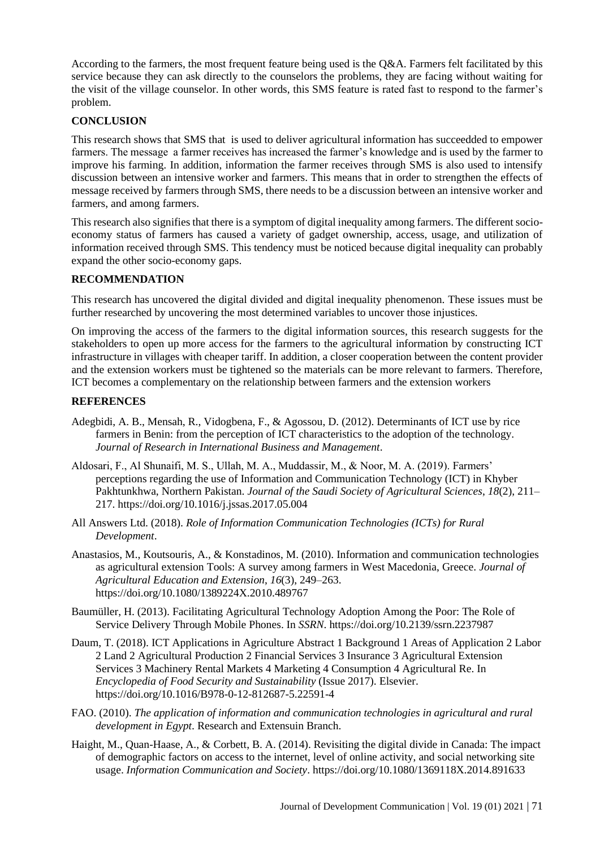According to the farmers, the most frequent feature being used is the Q&A. Farmers felt facilitated by this service because they can ask directly to the counselors the problems, they are facing without waiting for the visit of the village counselor. In other words, this SMS feature is rated fast to respond to the farmer's problem.

# **CONCLUSION**

This research shows that SMS that is used to deliver agricultural information has succeedded to empower farmers. The message a farmer receives has increased the farmer's knowledge and is used by the farmer to improve his farming. In addition, information the farmer receives through SMS is also used to intensify discussion between an intensive worker and farmers. This means that in order to strengthen the effects of message received by farmers through SMS, there needs to be a discussion between an intensive worker and farmers, and among farmers.

This research also signifies that there is a symptom of digital inequality among farmers. The different socioeconomy status of farmers has caused a variety of gadget ownership, access, usage, and utilization of information received through SMS. This tendency must be noticed because digital inequality can probably expand the other socio-economy gaps.

### **RECOMMENDATION**

This research has uncovered the digital divided and digital inequality phenomenon. These issues must be further researched by uncovering the most determined variables to uncover those injustices.

On improving the access of the farmers to the digital information sources, this research suggests for the stakeholders to open up more access for the farmers to the agricultural information by constructing ICT infrastructure in villages with cheaper tariff. In addition, a closer cooperation between the content provider and the extension workers must be tightened so the materials can be more relevant to farmers. Therefore, ICT becomes a complementary on the relationship between farmers and the extension workers

### **REFERENCES**

- Adegbidi, A. B., Mensah, R., Vidogbena, F., & Agossou, D. (2012). Determinants of ICT use by rice farmers in Benin: from the perception of ICT characteristics to the adoption of the technology. *Journal of Research in International Business and Management*.
- Aldosari, F., Al Shunaifi, M. S., Ullah, M. A., Muddassir, M., & Noor, M. A. (2019). Farmers' perceptions regarding the use of Information and Communication Technology (ICT) in Khyber Pakhtunkhwa, Northern Pakistan. *Journal of the Saudi Society of Agricultural Sciences*, *18*(2), 211– 217. https://doi.org/10.1016/j.jssas.2017.05.004
- All Answers Ltd. (2018). *Role of Information Communication Technologies (ICTs) for Rural Development*.
- Anastasios, M., Koutsouris, A., & Konstadinos, M. (2010). Information and communication technologies as agricultural extension Tools: A survey among farmers in West Macedonia, Greece. *Journal of Agricultural Education and Extension*, *16*(3), 249–263. https://doi.org/10.1080/1389224X.2010.489767
- Baumüller, H. (2013). Facilitating Agricultural Technology Adoption Among the Poor: The Role of Service Delivery Through Mobile Phones. In *SSRN*. https://doi.org/10.2139/ssrn.2237987
- Daum, T. (2018). ICT Applications in Agriculture Abstract 1 Background 1 Areas of Application 2 Labor 2 Land 2 Agricultural Production 2 Financial Services 3 Insurance 3 Agricultural Extension Services 3 Machinery Rental Markets 4 Marketing 4 Consumption 4 Agricultural Re. In *Encyclopedia of Food Security and Sustainability* (Issue 2017). Elsevier. https://doi.org/10.1016/B978-0-12-812687-5.22591-4
- FAO. (2010). *The application of information and communication technologies in agricultural and rural development in Egypt*. Research and Extensuin Branch.
- Haight, M., Quan-Haase, A., & Corbett, B. A. (2014). Revisiting the digital divide in Canada: The impact of demographic factors on access to the internet, level of online activity, and social networking site usage. *Information Communication and Society*. https://doi.org/10.1080/1369118X.2014.891633